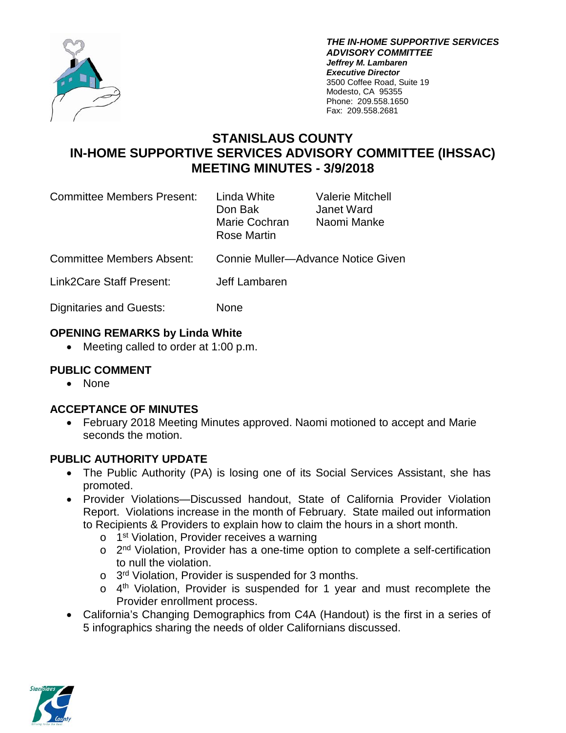

*THE IN-HOME SUPPORTIVE SERVICES ADVISORY COMMITTEE Jeffrey M. Lambaren Executive Director* 3500 Coffee Road, Suite 19 Modesto, CA 95355 Phone: 209.558.1650 Fax: 209.558.2681

# **STANISLAUS COUNTY IN-HOME SUPPORTIVE SERVICES ADVISORY COMMITTEE (IHSSAC) MEETING MINUTES - 3/9/2018**

| <b>Committee Members Present:</b> | Linda White<br>Don Bak<br>Marie Cochran<br>Rose Martin | Valerie Mitchell<br>Janet Ward<br>Naomi Manke |
|-----------------------------------|--------------------------------------------------------|-----------------------------------------------|
| <b>Committee Members Absent:</b>  | Connie Muller-Advance Notice Given                     |                                               |
| Link2Care Staff Present:          | Jeff Lambaren                                          |                                               |
|                                   |                                                        |                                               |

Dignitaries and Guests: None

### **OPENING REMARKS by Linda White**

• Meeting called to order at 1:00 p.m.

## **PUBLIC COMMENT**

• None

### **ACCEPTANCE OF MINUTES**

• February 2018 Meeting Minutes approved. Naomi motioned to accept and Marie seconds the motion.

### **PUBLIC AUTHORITY UPDATE**

- The Public Authority (PA) is losing one of its Social Services Assistant, she has promoted.
- Provider Violations—Discussed handout, State of California Provider Violation Report. Violations increase in the month of February. State mailed out information to Recipients & Providers to explain how to claim the hours in a short month.
	- o 1<sup>st</sup> Violation, Provider receives a warning
	- $\circ$  2<sup>nd</sup> Violation, Provider has a one-time option to complete a self-certification to null the violation.
	- $\circ$  3<sup>rd</sup> Violation, Provider is suspended for 3 months.
	- $\circ$  4<sup>th</sup> Violation, Provider is suspended for 1 year and must recomplete the Provider enrollment process.
- California's Changing Demographics from C4A (Handout) is the first in a series of 5 infographics sharing the needs of older Californians discussed.

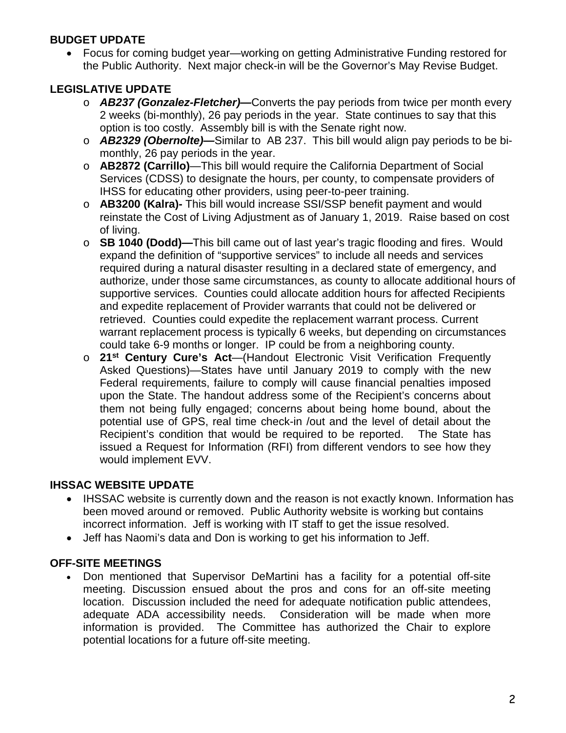### **BUDGET UPDATE**

• Focus for coming budget year—working on getting Administrative Funding restored for the Public Authority. Next major check-in will be the Governor's May Revise Budget.

# **LEGISLATIVE UPDATE**

- o *AB237 (Gonzalez-Fletcher)—*Converts the pay periods from twice per month every 2 weeks (bi-monthly), 26 pay periods in the year. State continues to say that this option is too costly. Assembly bill is with the Senate right now.
- o *AB2329 (Obernolte)—*Similar to AB 237. This bill would align pay periods to be bimonthly, 26 pay periods in the year.
- o **AB2872 (Carrillo)**—This bill would require the California Department of Social Services (CDSS) to designate the hours, per county, to compensate providers of IHSS for educating other providers, using peer-to-peer training.
- o **AB3200 (Kalra)-** This bill would increase SSI/SSP benefit payment and would reinstate the Cost of Living Adjustment as of January 1, 2019. Raise based on cost of living.
- o **SB 1040 (Dodd)—**This bill came out of last year's tragic flooding and fires. Would expand the definition of "supportive services" to include all needs and services required during a natural disaster resulting in a declared state of emergency, and authorize, under those same circumstances, as county to allocate additional hours of supportive services. Counties could allocate addition hours for affected Recipients and expedite replacement of Provider warrants that could not be delivered or retrieved. Counties could expedite the replacement warrant process. Current warrant replacement process is typically 6 weeks, but depending on circumstances could take 6-9 months or longer. IP could be from a neighboring county.
- o **21st Century Cure's Act**—(Handout Electronic Visit Verification Frequently Asked Questions)—States have until January 2019 to comply with the new Federal requirements, failure to comply will cause financial penalties imposed upon the State. The handout address some of the Recipient's concerns about them not being fully engaged; concerns about being home bound, about the potential use of GPS, real time check-in /out and the level of detail about the Recipient's condition that would be required to be reported. The State has issued a Request for Information (RFI) from different vendors to see how they would implement EVV.

# **IHSSAC WEBSITE UPDATE**

- IHSSAC website is currently down and the reason is not exactly known. Information has been moved around or removed. Public Authority website is working but contains incorrect information. Jeff is working with IT staff to get the issue resolved.
- Jeff has Naomi's data and Don is working to get his information to Jeff.

# **OFF-SITE MEETINGS**

• Don mentioned that Supervisor DeMartini has a facility for a potential off-site meeting. Discussion ensued about the pros and cons for an off-site meeting location. Discussion included the need for adequate notification public attendees, adequate ADA accessibility needs. Consideration will be made when more information is provided. The Committee has authorized the Chair to explore potential locations for a future off-site meeting.